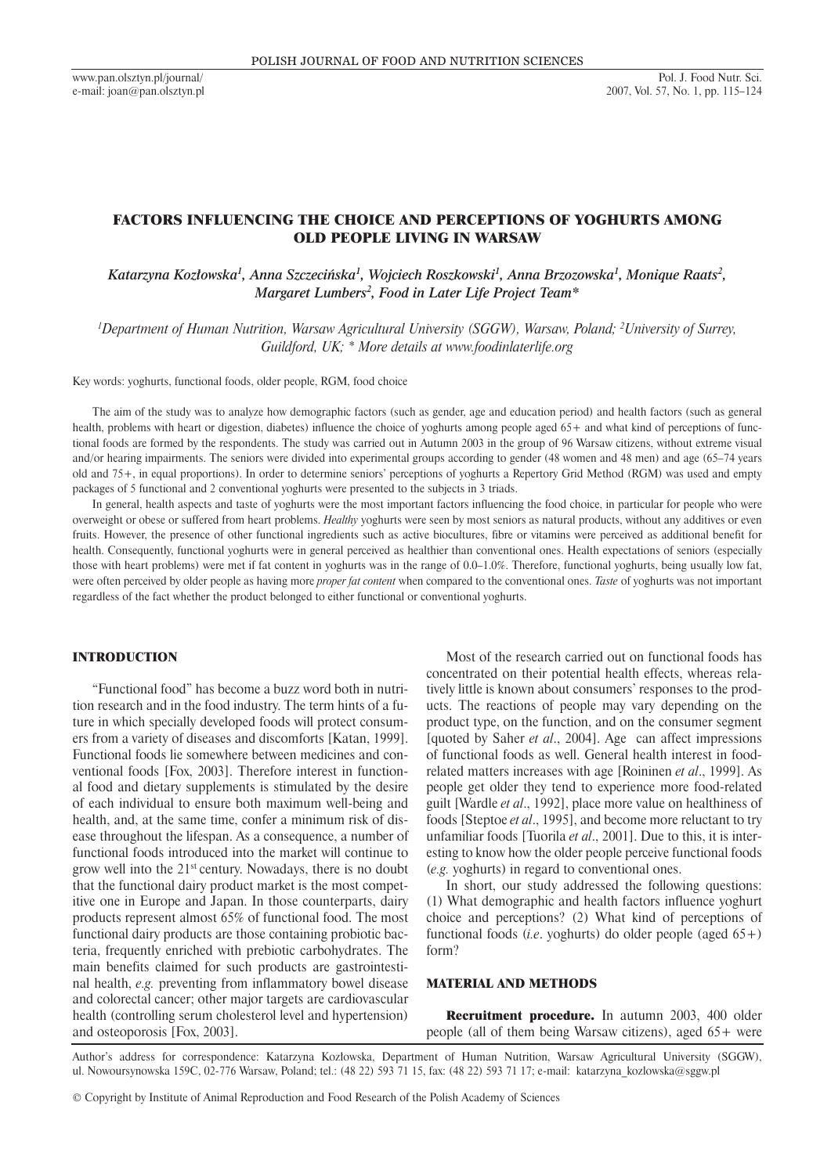# FACTORS INFLUENCING THE CHOICE AND PERCEPTIONS OF YOGHURTS AMONG OLD PEOPLE LIVING IN WARSAW

# Katarzyna Kozłowska<sup>1</sup>, Anna Szczecińska<sup>1</sup>, Wojciech Roszkowski<sup>1</sup>, Anna Brzozowska<sup>1</sup>, Monique Raats<sup>2</sup>, *Margaret Lumbers2 , Food in Later Life Project Team\**

*1 Department of Human Nutrition, Warsaw Agricultural University (SGGW), Warsaw, Poland; 2 University of Surrey, Guildford, UK; \* More details at www.foodinlaterlife.org*

Key words: yoghurts, functional foods, older people, RGM, food choice

The aim of the study was to analyze how demographic factors (such as gender, age and education period) and health factors (such as general health, problems with heart or digestion, diabetes) influence the choice of yoghurts among people aged 65+ and what kind of perceptions of functional foods are formed by the respondents. The study was carried out in Autumn 2003 in the group of 96 Warsaw citizens, without extreme visual and/or hearing impairments. The seniors were divided into experimental groups according to gender (48 women and 48 men) and age (65–74 years old and 75+, in equal proportions). In order to determine seniors' perceptions of yoghurts a Repertory Grid Method (RGM) was used and empty packages of 5 functional and 2 conventional yoghurts were presented to the subjects in 3 triads.

In general, health aspects and taste of yoghurts were the most important factors influencing the food choice, in particular for people who were overweight or obese or suffered from heart problems. *Healthy* yoghurts were seen by most seniors as natural products, without any additives or even fruits. However, the presence of other functional ingredients such as active biocultures, fibre or vitamins were perceived as additional benefit for health. Consequently, functional yoghurts were in general perceived as healthier than conventional ones. Health expectations of seniors (especially those with heart problems) were met if fat content in yoghurts was in the range of 0.0–1.0%. Therefore, functional yoghurts, being usually low fat, were often perceived by older people as having more *proper fat content* when compared to the conventional ones. *Taste* of yoghurts was not important regardless of the fact whether the product belonged to either functional or conventional yoghurts.

#### INTRODUCTION

"Functional food" has become a buzz word both in nutrition research and in the food industry. The term hints of a future in which specially developed foods will protect consumers from a variety of diseases and discomforts [Katan, 1999]. Functional foods lie somewhere between medicines and conventional foods [Fox, 2003]. Therefore interest in functional food and dietary supplements is stimulated by the desire of each individual to ensure both maximum well-being and health, and, at the same time, confer a minimum risk of disease throughout the lifespan. As a consequence, a number of functional foods introduced into the market will continue to grow well into the 21st century. Nowadays, there is no doubt that the functional dairy product market is the most competitive one in Europe and Japan. In those counterparts, dairy products represent almost 65% of functional food. The most functional dairy products are those containing probiotic bacteria, frequently enriched with prebiotic carbohydrates. The main benefits claimed for such products are gastrointestinal health, *e.g.* preventing from inflammatory bowel disease and colorectal cancer; other major targets are cardiovascular health (controlling serum cholesterol level and hypertension) and osteoporosis [Fox, 2003].

Most of the research carried out on functional foods has concentrated on their potential health effects, whereas relatively little is known about consumers' responses to the products. The reactions of people may vary depending on the product type, on the function, and on the consumer segment [quoted by Saher *et al*., 2004]. Age can affect impressions of functional foods as well. General health interest in foodrelated matters increases with age [Roininen *et al*., 1999]. As people get older they tend to experience more food-related guilt [Wardle *et al*., 1992], place more value on healthiness of foods [Steptoe *et al*., 1995], and become more reluctant to try unfamiliar foods [Tuorila *et al*., 2001]. Due to this, it is interesting to know how the older people perceive functional foods (*e.g.* yoghurts) in regard to conventional ones.

In short, our study addressed the following questions: (1) What demographic and health factors influence yoghurt choice and perceptions? (2) What kind of perceptions of functional foods (*i.e*. yoghurts) do older people (aged 65+) form?

### MATERIAL AND METHODS

Recruitment procedure. In autumn 2003, 400 older people (all of them being Warsaw citizens), aged 65+ were

Author's address for correspondence: Katarzyna Kozłowska, Department of Human Nutrition, Warsaw Agricultural University (SGGW), ul. Nowoursynowska 159C, 02-776 Warsaw, Poland; tel.: (48 22) 593 71 15, fax: (48 22) 593 71 17; e-mail: katarzyna\_kozlowska@sggw.pl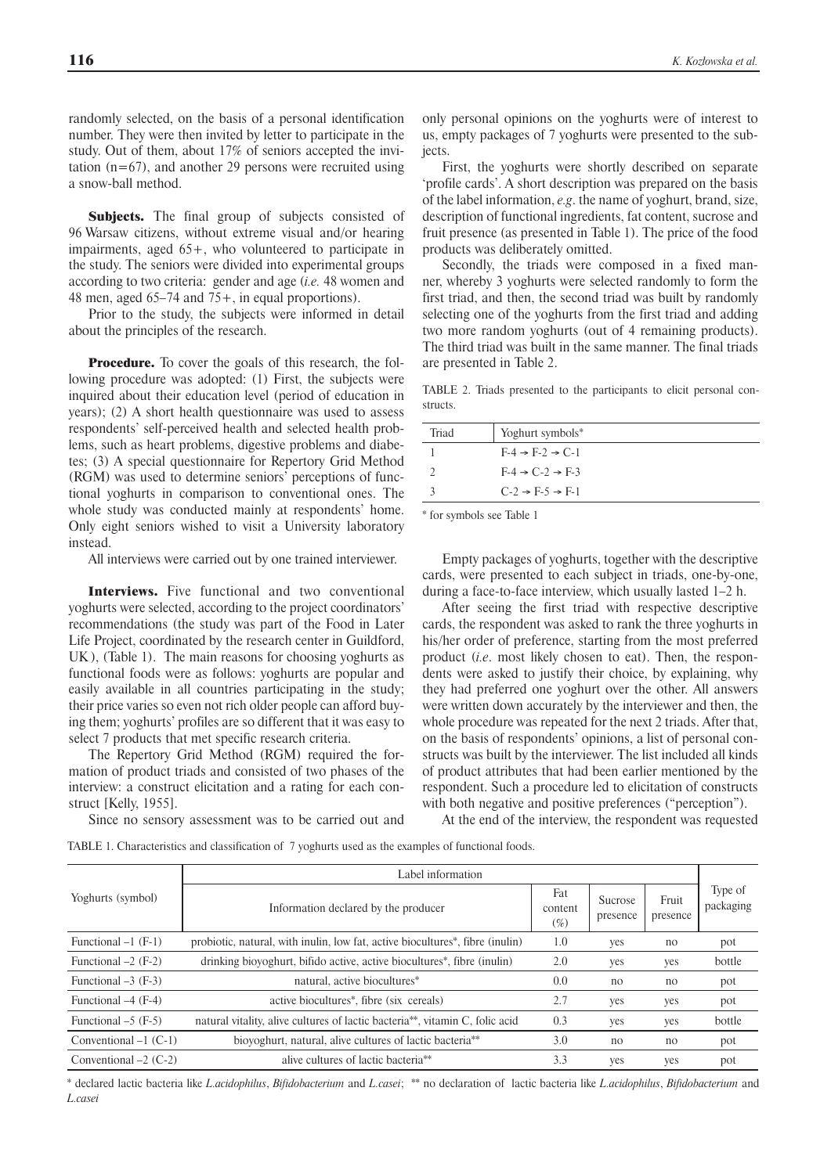randomly selected, on the basis of a personal identification number. They were then invited by letter to participate in the study. Out of them, about 17% of seniors accepted the invitation  $(n=67)$ , and another 29 persons were recruited using a snow-ball method.

Subjects. The final group of subjects consisted of 96 Warsaw citizens, without extreme visual and/or hearing impairments, aged 65+, who volunteered to participate in the study. The seniors were divided into experimental groups according to two criteria: gender and age (*i.e.* 48 women and 48 men, aged 65–74 and 75+, in equal proportions).

Prior to the study, the subjects were informed in detail about the principles of the research.

**Procedure.** To cover the goals of this research, the following procedure was adopted: (1) First, the subjects were inquired about their education level (period of education in years); (2) A short health questionnaire was used to assess respondents' self-perceived health and selected health problems, such as heart problems, digestive problems and diabetes; (3) A special questionnaire for Repertory Grid Method (RGM) was used to determine seniors' perceptions of functional yoghurts in comparison to conventional ones. The whole study was conducted mainly at respondents' home. Only eight seniors wished to visit a University laboratory instead.

All interviews were carried out by one trained interviewer.

Interviews. Five functional and two conventional yoghurts were selected, according to the project coordinators' recommendations (the study was part of the Food in Later Life Project, coordinated by the research center in Guildford, UK ), (Table 1). The main reasons for choosing yoghurts as functional foods were as follows: yoghurts are popular and easily available in all countries participating in the study; their price varies so even not rich older people can afford buying them; yoghurts' profiles are so different that it was easy to select 7 products that met specific research criteria.

The Repertory Grid Method (RGM) required the formation of product triads and consisted of two phases of the interview: a construct elicitation and a rating for each construct [Kelly, 1955].

only personal opinions on the yoghurts were of interest to us, empty packages of 7 yoghurts were presented to the subjects.

First, the yoghurts were shortly described on separate 'profile cards'. A short description was prepared on the basis of the label information, *e.g*. the name of yoghurt, brand, size, description of functional ingredients, fat content, sucrose and fruit presence (as presented in Table 1). The price of the food products was deliberately omitted.

Secondly, the triads were composed in a fixed manner, whereby 3 yoghurts were selected randomly to form the first triad, and then, the second triad was built by randomly selecting one of the yoghurts from the first triad and adding two more random yoghurts (out of 4 remaining products). The third triad was built in the same manner. The final triads are presented in Table 2.

TABLE 2. Triads presented to the participants to elicit personal constructs.

| Triad | Yoghurt symbols*                      |
|-------|---------------------------------------|
|       | $F-4 \rightarrow F-2 \rightarrow C-1$ |
|       | $F-4 \rightarrow C-2 \rightarrow F-3$ |
|       | $C-2 \rightarrow F-5 \rightarrow F-1$ |

\* for symbols see Table 1

Empty packages of yoghurts, together with the descriptive cards, were presented to each subject in triads, one-by-one, during a face-to-face interview, which usually lasted 1–2 h.

After seeing the first triad with respective descriptive cards, the respondent was asked to rank the three yoghurts in his/her order of preference, starting from the most preferred product (*i.e*. most likely chosen to eat). Then, the respondents were asked to justify their choice, by explaining, why they had preferred one yoghurt over the other. All answers were written down accurately by the interviewer and then, the whole procedure was repeated for the next 2 triads. After that, on the basis of respondents' opinions, a list of personal constructs was built by the interviewer. The list included all kinds of product attributes that had been earlier mentioned by the respondent. Such a procedure led to elicitation of constructs with both negative and positive preferences ("perception").

Since no sensory assessment was to be carried out and

At the end of the interview, the respondent was requested

TABLE 1. Characteristics and classification of 7 yoghurts used as the examples of functional foods.

|                         | Label information                                                                          |                           |                     |                   |                      |  |  |  |  |
|-------------------------|--------------------------------------------------------------------------------------------|---------------------------|---------------------|-------------------|----------------------|--|--|--|--|
| Yoghurts (symbol)       | Information declared by the producer                                                       | Fat<br>content<br>$(\% )$ | Sucrose<br>presence | Fruit<br>presence | Type of<br>packaging |  |  |  |  |
| Functional $-1$ (F-1)   | probiotic, natural, with inulin, low fat, active biocultures <sup>*</sup> , fibre (inulin) | 1.0                       | yes                 | no                | pot                  |  |  |  |  |
| Functional $-2$ (F-2)   | drinking biovoghurt, bifido active, active biocultures <sup>*</sup> , fibre (inulin)       | 2.0                       | yes                 | yes               | bottle               |  |  |  |  |
| Functional $-3$ (F-3)   | natural, active biocultures*                                                               | 0.0                       | no                  | no                | pot                  |  |  |  |  |
| Functional -4 (F-4)     | active biocultures*, fibre (six cereals)                                                   | 2.7                       | yes                 | yes               | pot                  |  |  |  |  |
| Functional $-5$ (F-5)   | natural vitality, alive cultures of lactic bacteria**, vitamin C, folic acid               | 0.3                       | yes                 | yes               | bottle               |  |  |  |  |
| Conventional $-1$ (C-1) | bioyoghurt, natural, alive cultures of lactic bacteria <sup>**</sup>                       | 3.0                       | no                  | no                | pot                  |  |  |  |  |
| Conventional $-2$ (C-2) | alive cultures of lactic bacteria <sup>**</sup>                                            | 3.3                       | yes                 | ves               | pot                  |  |  |  |  |

\* declared lactic bacteria like *L.acidophilus*, *Bifidobacterium* and *L.casei*; \*\* no declaration of lactic bacteria like *L.acidophilus*, *Bifidobacterium* and *L.casei*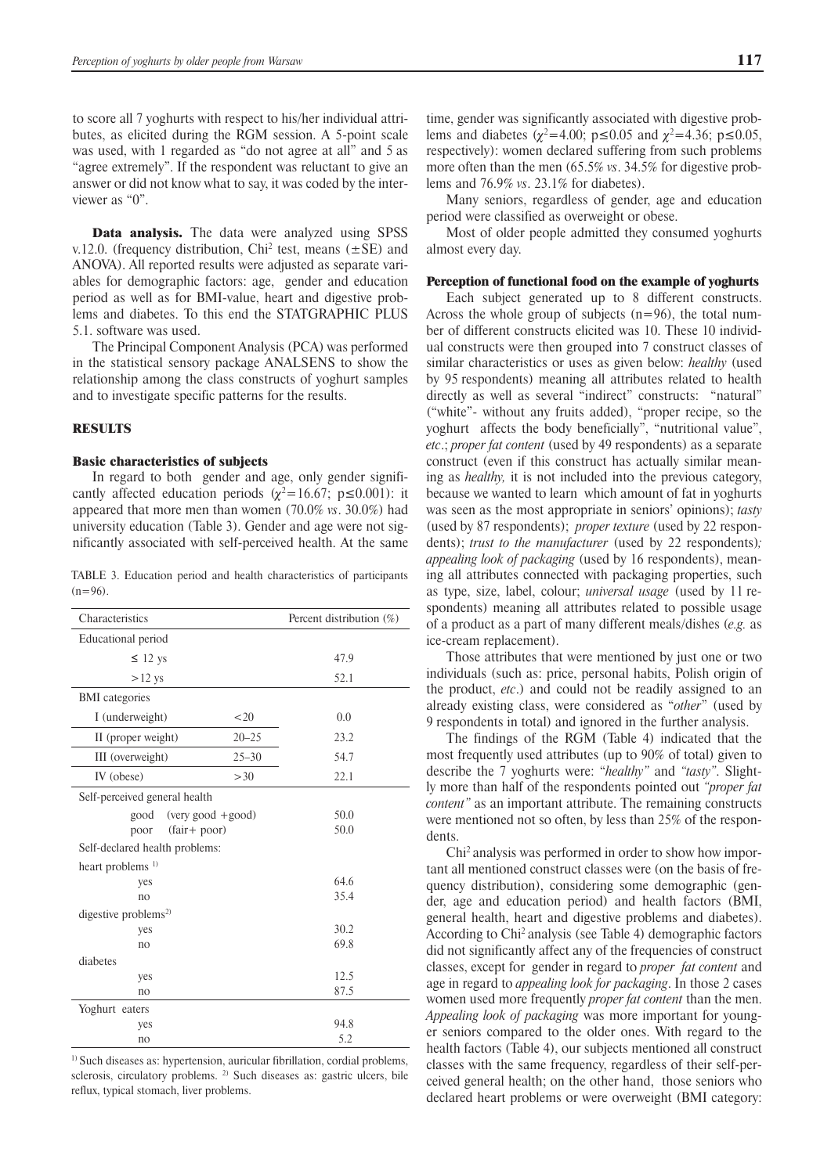to score all 7 yoghurts with respect to his/her individual attributes, as elicited during the RGM session. A 5-point scale was used, with 1 regarded as "do not agree at all" and 5 as "agree extremely". If the respondent was reluctant to give an answer or did not know what to say, it was coded by the interviewer as "0".

Data analysis. The data were analyzed using SPSS v.12.0. (frequency distribution, Chi<sup>2</sup> test, means  $(\pm SE)$  and ANOVA). All reported results were adjusted as separate variables for demographic factors: age, gender and education period as well as for BMI-value, heart and digestive problems and diabetes. To this end the STATGRAPHIC PLUS 5.1. software was used.

The Principal Component Analysis (PCA) was performed in the statistical sensory package ANALSENS to show the relationship among the class constructs of yoghurt samples and to investigate specific patterns for the results.

#### **RESULTS**

#### Basic characteristics of subjects

In regard to both gender and age, only gender significantly affected education periods ( $\chi^2$ =16.67; p ≤0.001): it appeared that more men than women (70.0% *vs*. 30.0%) had university education (Table 3). Gender and age were not significantly associated with self-perceived health. At the same

TABLE 3. Education period and health characteristics of participants  $(n=96)$ .

| Characteristics                  | Percent distribution (%) |      |  |  |  |  |
|----------------------------------|--------------------------|------|--|--|--|--|
| Educational period               |                          |      |  |  |  |  |
| $\leq$ 12 ys                     |                          | 47.9 |  |  |  |  |
| $>12$ ys                         |                          | 52.1 |  |  |  |  |
| <b>BMI</b> categories            |                          |      |  |  |  |  |
| I (underweight)                  | < 20                     | 0.0  |  |  |  |  |
| II (proper weight)               | $20 - 25$                | 23.2 |  |  |  |  |
| III (overweight)                 | $25 - 30$                | 54.7 |  |  |  |  |
| IV (obese)                       | >30                      | 22.1 |  |  |  |  |
| Self-perceived general health    |                          |      |  |  |  |  |
| $(very good + good)$<br>good     |                          | 50.0 |  |  |  |  |
| $(fair + poor)$<br>poor          |                          | 50.0 |  |  |  |  |
| Self-declared health problems:   |                          |      |  |  |  |  |
| heart problems <sup>1)</sup>     |                          |      |  |  |  |  |
| yes                              |                          | 64.6 |  |  |  |  |
| no                               |                          | 35.4 |  |  |  |  |
| digestive problems <sup>2)</sup> |                          |      |  |  |  |  |
| yes                              |                          | 30.2 |  |  |  |  |
| no                               |                          | 69.8 |  |  |  |  |
| diabetes                         |                          |      |  |  |  |  |
| yes                              | 12.5                     |      |  |  |  |  |
| no                               | 87.5                     |      |  |  |  |  |
| Yoghurt eaters                   |                          |      |  |  |  |  |
| yes                              | 94.8                     |      |  |  |  |  |
| no                               | 5.2                      |      |  |  |  |  |

<sup>1)</sup> Such diseases as: hypertension, auricular fibrillation, cordial problems, sclerosis, circulatory problems. <sup>2)</sup> Such diseases as: gastric ulcers, bile reflux, typical stomach, liver problems.

time, gender was significantly associated with digestive problems and diabetes ( $\chi^2$ =4.00; p ≤0.05 and  $\chi^2$ =4.36; p ≤0.05, respectively): women declared suffering from such problems more often than the men (65.5% *vs*. 34.5% for digestive problems and 76.9% *vs*. 23.1% for diabetes).

Many seniors, regardless of gender, age and education period were classified as overweight or obese.

Most of older people admitted they consumed yoghurts almost every day.

#### Perception of functional food on the example of yoghurts

Each subject generated up to 8 different constructs. Across the whole group of subjects  $(n=96)$ , the total number of different constructs elicited was 10. These 10 individual constructs were then grouped into 7 construct classes of similar characteristics or uses as given below: *healthy* (used by 95 respondents) meaning all attributes related to health directly as well as several "indirect" constructs: "natural" ("white"- without any fruits added), "proper recipe, so the yoghurt affects the body beneficially", "nutritional value", *etc*.; *proper fat content* (used by 49 respondents) as a separate construct (even if this construct has actually similar meaning as *healthy,* it is not included into the previous category, because we wanted to learn which amount of fat in yoghurts was seen as the most appropriate in seniors' opinions); *tasty* (used by 87 respondents); *proper texture* (used by 22 respondents); *trust to the manufacturer* (used by 22 respondents)*; appealing look of packaging* (used by 16 respondents), meaning all attributes connected with packaging properties, such as type, size, label, colour; *universal usage* (used by 11 respondents) meaning all attributes related to possible usage of a product as a part of many different meals/dishes (*e.g.* as ice-cream replacement).

Those attributes that were mentioned by just one or two individuals (such as: price, personal habits, Polish origin of the product, *etc*.) and could not be readily assigned to an already existing class, were considered as "*other*" (used by 9 respondents in total) and ignored in the further analysis.

The findings of the RGM (Table 4) indicated that the most frequently used attributes (up to 90% of total) given to describe the 7 yoghurts were: "*healthy"* and *"tasty"*. Slightly more than half of the respondents pointed out *"proper fat content"* as an important attribute. The remaining constructs were mentioned not so often, by less than 25% of the respondents.

Chi2 analysis was performed in order to show how important all mentioned construct classes were (on the basis of frequency distribution), considering some demographic (gender, age and education period) and health factors (BMI, general health, heart and digestive problems and diabetes). According to Chi2 analysis (see Table 4) demographic factors did not significantly affect any of the frequencies of construct classes, except for gender in regard to *proper fat content* and age in regard to *appealing look for packaging*. In those 2 cases women used more frequently *proper fat content* than the men. *Appealing look of packaging* was more important for younger seniors compared to the older ones. With regard to the health factors (Table 4), our subjects mentioned all construct classes with the same frequency, regardless of their self-perceived general health; on the other hand, those seniors who declared heart problems or were overweight (BMI category: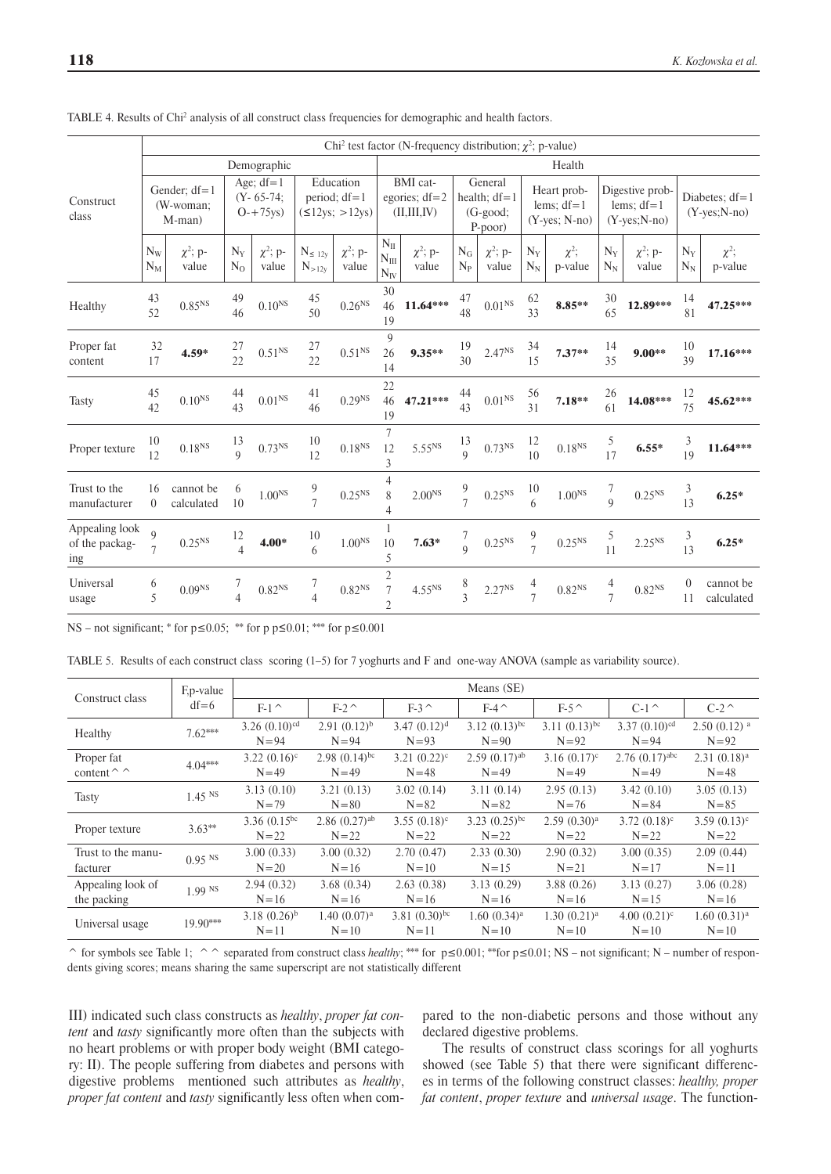|                                         |                  |                                         |                      |                                                    |                              |                                                |                                                    | Chi <sup>2</sup> test factor (N-frequency distribution; $\chi^2$ ; p-value) |                               |                                                       |                     |                                                    |                     |                                                        |                        |                                         |
|-----------------------------------------|------------------|-----------------------------------------|----------------------|----------------------------------------------------|------------------------------|------------------------------------------------|----------------------------------------------------|-----------------------------------------------------------------------------|-------------------------------|-------------------------------------------------------|---------------------|----------------------------------------------------|---------------------|--------------------------------------------------------|------------------------|-----------------------------------------|
|                                         | Demographic      |                                         |                      |                                                    |                              | Health                                         |                                                    |                                                                             |                               |                                                       |                     |                                                    |                     |                                                        |                        |                                         |
| Construct<br>class                      |                  | Gender; $df = 1$<br>(W-woman:<br>M-man) |                      | Age; $df=1$<br>$(Y - 65 - 74)$ ;<br>$O - + 75$ ys) |                              | Education<br>period; $df=1$<br>(512ys; > 12ys) |                                                    | BMI cat-<br>egories; $df=2$<br>(II, III, IV)                                |                               | General<br>health; $df = 1$<br>$(G$ -good;<br>P-poor) |                     | Heart prob-<br>lems; $df=1$<br>$(Y$ -yes; $N$ -no) |                     | Digestive prob-<br>lems; $df=1$<br>$(Y$ -yes; $N$ -no) |                        | Diabetes; $df=1$<br>$(Y$ -yes; $N$ -no) |
|                                         | $N_{W}$<br>$N_M$ | $\chi^2$ ; p-<br>value                  | $N_Y$<br>$N_{O}$     | $\chi^2$ ; p-<br>value                             | $N_{\leq 12y}$<br>$N_{>12y}$ | $\chi^2$ ; p-<br>value                         | $N_{II}$<br>$N_{\rm III}$<br>$N_{IV}$              | $\chi^2$ ; p-<br>value                                                      | $N_G$<br>$N_{P}$              | $\chi^2$ ; p-<br>value                                | $N_Y$<br>$N_N$      | $\chi^2$ ;<br>p-value                              | $N_Y$<br>$N_N$      | $\chi^2$ ; p-<br>value                                 | $N_Y$<br>$N_N$         | $\chi^2$ ;<br>p-value                   |
| Healthy                                 | 43<br>52         | 0.85 <sup>NS</sup>                      | 49<br>46             | $0.10^{\mathrm{NS}}$                               | 45<br>50                     | $0.26^{NS}$                                    | 30<br>46<br>19                                     | $11.64***$                                                                  | 47<br>48                      | 0.01 <sup>NS</sup>                                    | 62<br>33            | $8.85***$                                          | 30<br>65            | 12.89***                                               | 14<br>81               | 47.25***                                |
| Proper fat<br>content                   | 32<br>17         | $4.59*$                                 | $\frac{27}{22}$      | $0.51^{\rm NS}$                                    | $\frac{27}{22}$              | 0.51 <sup>NS</sup>                             | 9<br>26<br>14                                      | $9.35**$                                                                    | 19<br>30                      | $2.47^{NS}$                                           | 34<br>15            | $7.37**$                                           | 14<br>35            | $9.00**$                                               | 10<br>39               | $17.16***$                              |
| <b>Tasty</b>                            | 45<br>42         | $0.10^{NS}$                             | 44<br>43             | $0.01^{\rm NS}$                                    | 41<br>46                     | 0.29 <sup>NS</sup>                             | 22<br>46<br>19                                     | 47.21***                                                                    | 44<br>43                      | $0.01^{\rm NS}$                                       | 56<br>31            | $7.18**$                                           | 26<br>61            | $14.08***$                                             | 12<br>75               | 45.62***                                |
| Proper texture                          | 10<br>12         | $0.18^{NS}$                             | 13<br>9              | $0.73^{NS}$                                        | 10<br>12                     | $0.18^{NS}$                                    | 7<br>12<br>3                                       | 5.55 <sup>NS</sup>                                                          | 13<br>$\overline{Q}$          | $0.73^{NS}$                                           | 12<br>10            | 0.18 <sup>NS</sup>                                 | 5<br>17             | $6.55*$                                                | 3<br>19                | $11.64***$                              |
| Trust to the<br>manufacturer            | 16<br>$\theta$   | cannot be<br>calculated                 | 6<br>10              | $1.00^{\mathrm{NS}}$                               | $\frac{9}{7}$                | 0.25 <sup>NS</sup>                             | 4<br>8                                             | $2.00NS$                                                                    | 9<br>7                        | $0.25^{\rm NS}$                                       | 10<br>6             | $1.00^{\mathrm{NS}}$                               | 7<br>$\overline{9}$ | 0.25 <sup>NS</sup>                                     | 3<br>13                | $6.25*$                                 |
| Appealing look<br>of the packag-<br>ing | 9                | $0.25^{\rm NS}$                         | 12<br>$\overline{4}$ | $4.00*$                                            | 10<br>6                      | $1.00^{\mathrm{NS}}$                           | 10<br>5                                            | $7.63*$                                                                     | $\frac{7}{9}$                 | $0.25^{\rm NS}$                                       | $\frac{9}{7}$       | 0.25 <sup>NS</sup>                                 | $\frac{5}{11}$      | $2.25^{NS}$                                            | 3<br>13                | $6.25*$                                 |
| Universal<br>usage                      | 6<br>5           | $0.09^{\mathrm{NS}}$                    | 7<br>$\overline{4}$  | $0.82^{\rm NS}$                                    | 7<br>$\overline{4}$          | 0.82 <sup>NS</sup>                             | $\overline{2}$<br>$\overline{7}$<br>$\overline{2}$ | 4.55 <sup>NS</sup>                                                          | 8<br>$\overline{\mathcal{E}}$ | $2.27^{\rm NS}$                                       | 4<br>$\overline{7}$ | $0.82^{\mathrm{NS}}$                               | $\frac{4}{7}$       | $0.82^{\rm NS}$                                        | $\boldsymbol{0}$<br>11 | cannot be<br>calculated                 |

TABLE 4. Results of Chi<sup>2</sup> analysis of all construct class frequencies for demographic and health factors.

NS – not significant; \* for  $p \le 0.05$ ; \*\* for p  $p \le 0.01$ ; \*\*\* for  $p \le 0.001$ 

TABLE 5. Results of each construct class scoring (1–5) for 7 yoghurts and F and one-way ANOVA (sample as variability source).

| Construct class                   | F, p-value           |                                |                                        |                             | Means (SE)                             |                                   |                                       |                                     |
|-----------------------------------|----------------------|--------------------------------|----------------------------------------|-----------------------------|----------------------------------------|-----------------------------------|---------------------------------------|-------------------------------------|
|                                   | $df=6$               | $F-1$                          | $F-2^{\sim}$                           | $F-3$                       | $F-4$                                  | $F-5^{\sim}$                      | $C-1^{\sim}$                          | $C-2^{\sim}$                        |
| Healthy                           | $7.62***$            | 3.26 $(0.10)^{cd}$<br>$N = 94$ | $2.91(0.12)^{b}$<br>$N = 94$           | $3.47(0.12)^d$<br>$N=93$    | $3.12 (0.13)$ <sup>bc</sup><br>$N=90$  | $3.11(0.13)^{bc}$<br>$N=92$       | $3.37(0.10)^{cd}$<br>$N = 94$         | $2.50(0.12)$ <sup>a</sup><br>$N=92$ |
| Proper fat<br>content $\hat{\ }}$ | $4.04***$            | $3.22 (0.16)^c$<br>$N = 49$    | $2.98(0.14)$ <sup>bc</sup><br>$N = 49$ | $3.21 (0.22)^c$<br>$N = 48$ | $2.59(0.17)$ <sup>ab</sup><br>$N = 49$ | $3.16(0.17)^c$<br>$N = 49$        | $2.76(0.17)$ <sup>abc</sup><br>$N=49$ | 2.31(0.18) <sup>a</sup><br>$N = 48$ |
| Tasty                             | $1.45$ <sup>NS</sup> | 3.13(0.10)<br>$N = 79$         | 3.21(0.13)<br>$N = 80$                 | 3.02(0.14)<br>$N = 82$      | 3.11(0.14)<br>$N = 82$                 | 2.95(0.13)<br>$N = 76$            | 3.42(0.10)<br>$N = 84$                | 3.05(0.13)<br>$N = 85$              |
| Proper texture                    | $3.63**$             | 3.36 $(0.15^{bc})$<br>$N=22$   | $2.86(0.27)$ <sup>ab</sup><br>$N=22$   | $3.55(0.18)^c$<br>$N=22$    | $3.23 (0.25)^{bc}$<br>$N=22$           | 2.59(0.30) <sup>a</sup><br>$N=22$ | $3.72(0.18)^c$<br>$N = 22$            | $3.59(0.13)^c$<br>$N=22$            |
| Trust to the manu-<br>facturer    | $0.95$ <sup>NS</sup> | 3.00(0.33)<br>$N=20$           | 3.00(0.32)<br>$N = 16$                 | 2.70(0.47)<br>$N=10$        | 2.33(0.30)<br>$N = 15$                 | 2.90(0.32)<br>$N=21$              | 3.00(0.35)<br>$N = 17$                | 2.09(0.44)<br>$N=11$                |
| Appealing look of<br>the packing  | $1.99$ NS            | 2.94(0.32)<br>$N=16$           | 3.68(0.34)<br>$N=16$                   | 2.63(0.38)<br>$N = 16$      | 3.13(0.29)<br>$N=16$                   | 3.88(0.26)<br>$N=16$              | 3.13(0.27)<br>$N = 15$                | 3.06(0.28)<br>$N=16$                |
| Universal usage                   | $19.90***$           | $3.18(0.26)^{b}$<br>$N=11$     | 1.40(0.07) <sup>a</sup><br>$N=10$      | $3.81(0.30)^{bc}$<br>$N=11$ | $1.60(0.34)$ <sup>a</sup><br>$N=10$    | 1.30(0.21) <sup>a</sup><br>$N=10$ | $4.00(0.21)^c$<br>$N=10$              | 1.60(0.31) <sup>a</sup><br>$N=10$   |

^ for symbols see Table 1; ^ ^ separated from construct class *healthy*; \*\*\* for p≤0.001; \*\*for p≤0.01; NS – not significant; N – number of respondents giving scores; means sharing the same superscript are not statistically different

III) indicated such class constructs as *healthy*, *proper fat content* and *tasty* significantly more often than the subjects with no heart problems or with proper body weight (BMI category: II). The people suffering from diabetes and persons with digestive problems mentioned such attributes as *healthy*, *proper fat content* and *tasty* significantly less often when compared to the non-diabetic persons and those without any declared digestive problems.

The results of construct class scorings for all yoghurts showed (see Table 5) that there were significant differences in terms of the following construct classes: *healthy, proper fat content*, *proper texture* and *universal usage*. The function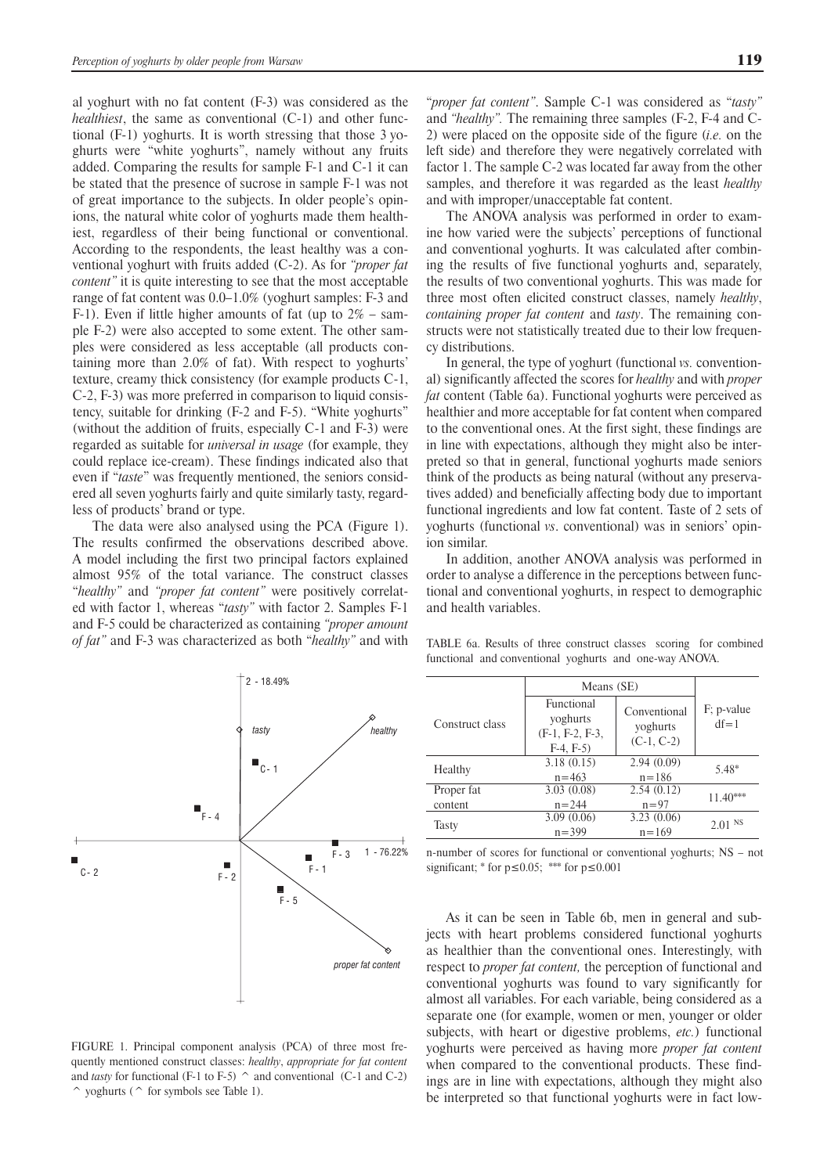al yoghurt with no fat content (F-3) was considered as the *healthiest*, the same as conventional (C-1) and other functional (F-1) yoghurts. It is worth stressing that those 3 yoghurts were "white yoghurts", namely without any fruits added. Comparing the results for sample F-1 and C-1 it can be stated that the presence of sucrose in sample F-1 was not of great importance to the subjects. In older people's opinions, the natural white color of yoghurts made them healthiest, regardless of their being functional or conventional. According to the respondents, the least healthy was a conventional yoghurt with fruits added (C-2). As for *"proper fat content"* it is quite interesting to see that the most acceptable range of fat content was 0.0–1.0% (yoghurt samples: F-3 and F-1). Even if little higher amounts of fat (up to  $2\%$  – sample F-2) were also accepted to some extent. The other samples were considered as less acceptable (all products containing more than 2.0% of fat). With respect to yoghurts' texture, creamy thick consistency (for example products C-1, C-2, F-3) was more preferred in comparison to liquid consistency, suitable for drinking (F-2 and F-5). "White yoghurts" (without the addition of fruits, especially C-1 and F-3) were regarded as suitable for *universal in usage* (for example, they could replace ice-cream). These findings indicated also that even if "*taste*" was frequently mentioned, the seniors considered all seven yoghurts fairly and quite similarly tasty, regardless of products' brand or type.

The data were also analysed using the PCA (Figure 1). The results confirmed the observations described above. A model including the first two principal factors explained almost 95% of the total variance. The construct classes "*healthy"* and *"proper fat content"* were positively correlated with factor 1, whereas "*tasty"* with factor 2. Samples F-1 and F-5 could be characterized as containing *"proper amount of fat"* and F-3 was characterized as both "*healthy"* and with "*proper fat content"*. Sample C-1 was considered as "*tasty"*  and *"healthy".* The remaining three samples (F-2, F-4 and C-2) were placed on the opposite side of the figure (*i.e.* on the left side) and therefore they were negatively correlated with factor 1. The sample C-2 was located far away from the other samples, and therefore it was regarded as the least *healthy* and with improper/unacceptable fat content.

The ANOVA analysis was performed in order to examine how varied were the subjects' perceptions of functional and conventional yoghurts. It was calculated after combining the results of five functional yoghurts and, separately, the results of two conventional yoghurts. This was made for three most often elicited construct classes, namely *healthy*, *containing proper fat content* and *tasty*. The remaining constructs were not statistically treated due to their low frequency distributions.

In general, the type of yoghurt (functional *vs.* conventional) significantly affected the scores for *healthy* and with *proper fat* content (Table 6a). Functional yoghurts were perceived as healthier and more acceptable for fat content when compared to the conventional ones. At the first sight, these findings are in line with expectations, although they might also be interpreted so that in general, functional yoghurts made seniors think of the products as being natural (without any preservatives added) and beneficially affecting body due to important functional ingredients and low fat content. Taste of 2 sets of yoghurts (functional *vs*. conventional) was in seniors' opinion similar.

In addition, another ANOVA analysis was performed in order to analyse a difference in the perceptions between functional and conventional yoghurts, in respect to demographic and health variables.



FIGURE 1. Principal component analysis (PCA) of three most frequently mentioned construct classes: *healthy*, *appropriate for fat content* and *tasty* for functional (F-1 to F-5)  $\hat{ }$  and conventional (C-1 and C-2) ^ yoghurts (^ for symbols see Table 1).

TABLE 6a. Results of three construct classes scoring for combined functional and conventional yoghurts and one-way ANOVA.

|                 | Means (SE)                                                |                                          |                           |  |  |  |  |
|-----------------|-----------------------------------------------------------|------------------------------------------|---------------------------|--|--|--|--|
| Construct class | Functional<br>yoghurts<br>$(F-1, F-2, F-3,$<br>$F-4, F-5$ | Conventional<br>yoghurts<br>$(C-1, C-2)$ | $F$ ; p-value<br>$df = 1$ |  |  |  |  |
| Healthy         | 3.18(0.15)<br>$n = 463$                                   | 2.94(0.09)<br>$n = 186$                  | 5.48*                     |  |  |  |  |
| Proper fat      | 3.03(0.08)                                                | 2.54(0.12)                               | $11.40***$                |  |  |  |  |
| content         | $n = 244$                                                 | $n = 97$                                 |                           |  |  |  |  |
| Tasty           | 3.09(0.06)<br>$n = 399$                                   | 3.23(0.06)<br>$n = 169$                  | $2.01$ NS                 |  |  |  |  |

n-number of scores for functional or conventional yoghurts; NS – not significant; \* for  $p \le 0.05$ ; \*\*\* for  $p \le 0.001$ 

As it can be seen in Table 6b, men in general and subjects with heart problems considered functional yoghurts as healthier than the conventional ones. Interestingly, with respect to *proper fat content,* the perception of functional and conventional yoghurts was found to vary significantly for almost all variables. For each variable, being considered as a separate one (for example, women or men, younger or older subjects, with heart or digestive problems, *etc.*) functional yoghurts were perceived as having more *proper fat content* when compared to the conventional products. These findings are in line with expectations, although they might also be interpreted so that functional yoghurts were in fact low-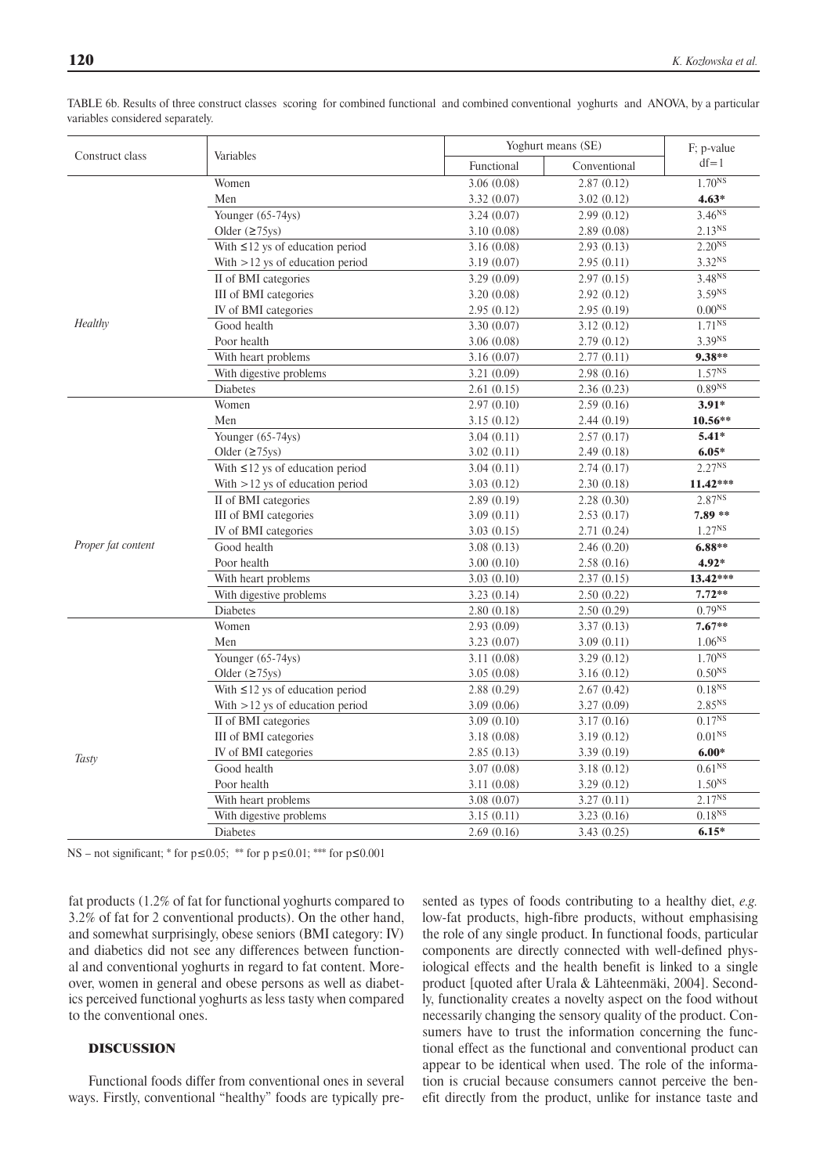|                    |                                       |             | Yoghurt means (SE) |                    |  |  |  |
|--------------------|---------------------------------------|-------------|--------------------|--------------------|--|--|--|
| Construct class    | Variables                             | Functional  | Conventional       | $df = 1$           |  |  |  |
|                    | Women                                 | 3.06(0.08)  | 2.87(0.12)         | $1.70^{NS}$        |  |  |  |
|                    | Men                                   | 3.32(0.07)  | 3.02(0.12)         | $4.63*$            |  |  |  |
|                    | Younger (65-74ys)                     | 3.24(0.07)  | 2.99(0.12)         | $3.46^{NS}$        |  |  |  |
|                    | Older $(275y)$                        | 3.10(0.08)  | 2.89(0.08)         | $2.13^{NS}$        |  |  |  |
|                    | With $\leq$ 12 ys of education period | 3.16(0.08)  | 2.93(0.13)         | $2.20^{NS}$        |  |  |  |
|                    | With $>12$ ys of education period     | 3.19(0.07)  | 2.95(0.11)         | 3.32 <sup>NS</sup> |  |  |  |
|                    | II of BMI categories                  | 3.29 (0.09) | 2.97(0.15)         | $3.48^{NS}$        |  |  |  |
|                    | III of BMI categories                 | 3.20(0.08)  | 2.92(0.12)         | 3.59 <sup>NS</sup> |  |  |  |
|                    | IV of BMI categories                  | 2.95(0.12)  | 2.95(0.19)         | 0.00 <sup>NS</sup> |  |  |  |
| Healthy            | Good health                           | 3.30 (0.07) | 3.12(0.12)         | $1.71^{NS}$        |  |  |  |
|                    | Poor health                           | 3.06(0.08)  | 2.79(0.12)         | 3.39NS             |  |  |  |
|                    | With heart problems                   | 3.16(0.07)  | 2.77(0.11)         | $9.38**$           |  |  |  |
|                    | With digestive problems               | 3.21(0.09)  | 2.98(0.16)         | $1.57^{NS}$        |  |  |  |
|                    | <b>Diabetes</b>                       | 2.61(0.15)  | 2.36(0.23)         | 0.89 <sup>NS</sup> |  |  |  |
|                    | Women                                 | 2.97(0.10)  | 2.59(0.16)         | $3.91*$            |  |  |  |
|                    | Men                                   | 3.15(0.12)  | 2.44(0.19)         | 10.56**            |  |  |  |
|                    | Younger (65-74ys)                     | 3.04(0.11)  | 2.57(0.17)         | $5.41*$            |  |  |  |
|                    | Older $(≥75$ ys)                      | 3.02(0.11)  | 2.49(0.18)         | $6.05*$            |  |  |  |
|                    | With $\leq$ 12 ys of education period | 3.04(0.11)  | 2.74(0.17)         | $2.27^{NS}$        |  |  |  |
|                    | With $>12$ ys of education period     | 3.03(0.12)  | 2.30(0.18)         | 11.42***           |  |  |  |
|                    | II of BMI categories                  | 2.89(0.19)  | 2.28(0.30)         | 2.87NS             |  |  |  |
|                    | III of BMI categories                 | 3.09(0.11)  | 2.53(0.17)         | $7.89**$           |  |  |  |
|                    | IV of BMI categories                  | 3.03(0.15)  | 2.71(0.24)         | $1.27^{NS}$        |  |  |  |
| Proper fat content | Good health                           | 3.08(0.13)  | 2.46(0.20)         | $6.88**$           |  |  |  |
|                    | Poor health                           | 3.00(0.10)  | 2.58(0.16)         | $4.92*$            |  |  |  |
|                    | With heart problems                   | 3.03(0.10)  | 2.37(0.15)         | 13.42***           |  |  |  |
|                    | With digestive problems               | 3.23(0.14)  | 2.50(0.22)         | $7.72**$           |  |  |  |
|                    | <b>Diabetes</b>                       | 2.80(0.18)  | 2.50(0.29)         | $0.79^{NS}$        |  |  |  |
|                    | Women                                 | 2.93(0.09)  | 3.37(0.13)         | $7.67**$           |  |  |  |
|                    | Men                                   | 3.23 (0.07) | 3.09(0.11)         | 1.06 <sup>NS</sup> |  |  |  |
|                    | Younger (65-74ys)                     | 3.11(0.08)  | 3.29(0.12)         | 1.70 <sup>NS</sup> |  |  |  |
|                    | Older $(≥75$ ys)                      | 3.05(0.08)  | 3.16(0.12)         | $0.50^{NS}$        |  |  |  |
|                    | With $\leq 12$ ys of education period | 2.88(0.29)  | 2.67(0.42)         | $0.18^{NS}$        |  |  |  |
|                    | With $>12$ ys of education period     | 3.09(0.06)  | 3.27(0.09)         | $2.85^{NS}$        |  |  |  |
| <b>Tasty</b>       | II of BMI categories                  | 3.09(0.10)  | 3.17(0.16)         | $0.17^{NS}$        |  |  |  |
|                    | III of BMI categories                 | 3.18(0.08)  | 3.19(0.12)         | 0.01 <sup>NS</sup> |  |  |  |
|                    | IV of BMI categories                  | 2.85(0.13)  | 3.39(0.19)         | $6.00*$            |  |  |  |
|                    | Good health                           | 3.07(0.08)  | 3.18(0.12)         | 0.61 <sup>NS</sup> |  |  |  |
|                    | Poor health                           | 3.11(0.08)  | 3.29(0.12)         | 1.50 <sup>NS</sup> |  |  |  |
|                    | With heart problems                   | 3.08(0.07)  | 3.27(0.11)         | $2.17^{NS}$        |  |  |  |
|                    | With digestive problems               | 3.15(0.11)  | 3.23(0.16)         | $0.18^{NS}$        |  |  |  |
|                    | <b>Diabetes</b>                       | 2.69(0.16)  | 3.43(0.25)         | $6.15*$            |  |  |  |

TABLE 6b. Results of three construct classes scoring for combined functional and combined conventional yoghurts and ANOVA, by a particular variables considered separately.

NS – not significant; \* for  $p \le 0.05$ ; \*\* for p  $p \le 0.01$ ; \*\*\* for  $p \le 0.001$ 

fat products (1.2% of fat for functional yoghurts compared to 3.2% of fat for 2 conventional products). On the other hand, and somewhat surprisingly, obese seniors (BMI category: IV) and diabetics did not see any differences between functional and conventional yoghurts in regard to fat content. Moreover, women in general and obese persons as well as diabetics perceived functional yoghurts as less tasty when compared to the conventional ones.

## DISCUSSION

Functional foods differ from conventional ones in several ways. Firstly, conventional "healthy" foods are typically presented as types of foods contributing to a healthy diet, *e.g.* low-fat products, high-fibre products, without emphasising the role of any single product. In functional foods, particular components are directly connected with well-defined physiological effects and the health benefit is linked to a single product [quoted after Urala & Lähteenmäki, 2004]. Secondly, functionality creates a novelty aspect on the food without necessarily changing the sensory quality of the product. Consumers have to trust the information concerning the functional effect as the functional and conventional product can appear to be identical when used. The role of the information is crucial because consumers cannot perceive the benefit directly from the product, unlike for instance taste and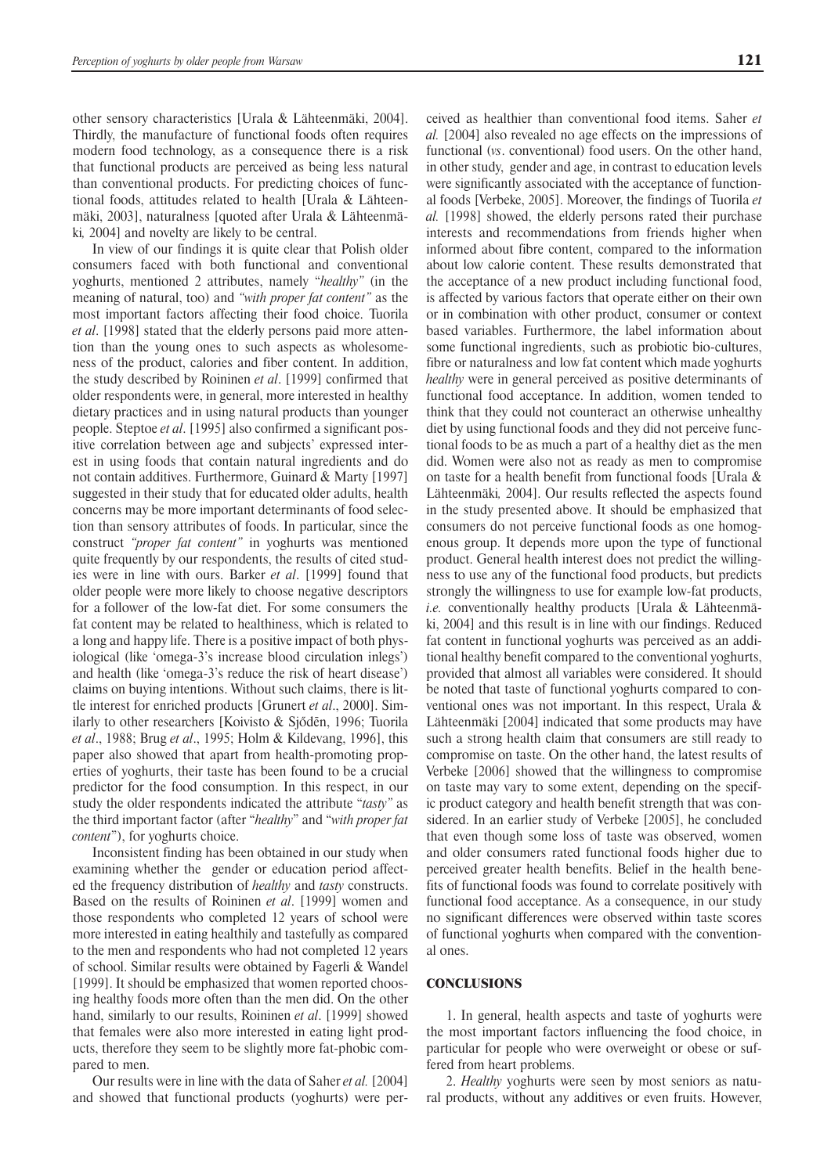other sensory characteristics [Urala & Lähteenmäki, 2004]. Thirdly, the manufacture of functional foods often requires modern food technology, as a consequence there is a risk that functional products are perceived as being less natural than conventional products. For predicting choices of functional foods, attitudes related to health [Urala & Lähteenmäki, 2003], naturalness [quoted after Urala & Lähteenmäki*,* 2004] and novelty are likely to be central.

In view of our findings it is quite clear that Polish older consumers faced with both functional and conventional yoghurts, mentioned 2 attributes, namely "*healthy"* (in the meaning of natural, too) and *"with proper fat content"* as the most important factors affecting their food choice. Tuorila *et al*. [1998] stated that the elderly persons paid more attention than the young ones to such aspects as wholesomeness of the product, calories and fiber content. In addition, the study described by Roininen *et al*. [1999] confirmed that older respondents were, in general, more interested in healthy dietary practices and in using natural products than younger people. Steptoe *et al*. [1995] also confirmed a significant positive correlation between age and subjects' expressed interest in using foods that contain natural ingredients and do not contain additives. Furthermore, Guinard & Marty [1997] suggested in their study that for educated older adults, health concerns may be more important determinants of food selection than sensory attributes of foods. In particular, since the construct *"proper fat content"* in yoghurts was mentioned quite frequently by our respondents, the results of cited studies were in line with ours. Barker *et al*. [1999] found that older people were more likely to choose negative descriptors for a follower of the low-fat diet. For some consumers the fat content may be related to healthiness, which is related to a long and happy life. There is a positive impact of both physiological (like 'omega-3's increase blood circulation inlegs') and health (like 'omega-3's reduce the risk of heart disease') claims on buying intentions. Without such claims, there is little interest for enriched products [Grunert *et al*., 2000]. Similarly to other researchers [Koivisto & Sjődēn, 1996; Tuorila *et al*., 1988; Brug *et al*., 1995; Holm & Kildevang, 1996], this paper also showed that apart from health-promoting properties of yoghurts, their taste has been found to be a crucial predictor for the food consumption. In this respect, in our study the older respondents indicated the attribute "*tasty"* as the third important factor (after "*healthy*" and "*with proper fat content*"), for yoghurts choice.

Inconsistent finding has been obtained in our study when examining whether the gender or education period affected the frequency distribution of *healthy* and *tasty* constructs. Based on the results of Roininen *et al*. [1999] women and those respondents who completed 12 years of school were more interested in eating healthily and tastefully as compared to the men and respondents who had not completed 12 years of school. Similar results were obtained by Fagerli & Wandel [1999]. It should be emphasized that women reported choosing healthy foods more often than the men did. On the other hand, similarly to our results, Roininen *et al*. [1999] showed that females were also more interested in eating light products, therefore they seem to be slightly more fat-phobic compared to men.

Our results were in line with the data of Saher *et al.* [2004] and showed that functional products (yoghurts) were perceived as healthier than conventional food items. Saher *et al.* [2004] also revealed no age effects on the impressions of functional (*vs*. conventional) food users. On the other hand, in other study, gender and age, in contrast to education levels were significantly associated with the acceptance of functional foods [Verbeke, 2005]. Moreover, the findings of Tuorila *et al.* [1998] showed, the elderly persons rated their purchase interests and recommendations from friends higher when informed about fibre content, compared to the information about low calorie content. These results demonstrated that the acceptance of a new product including functional food, is affected by various factors that operate either on their own or in combination with other product, consumer or context based variables. Furthermore, the label information about some functional ingredients, such as probiotic bio-cultures, fibre or naturalness and low fat content which made yoghurts *healthy* were in general perceived as positive determinants of functional food acceptance. In addition, women tended to think that they could not counteract an otherwise unhealthy diet by using functional foods and they did not perceive functional foods to be as much a part of a healthy diet as the men did. Women were also not as ready as men to compromise on taste for a health benefit from functional foods [Urala & Lähteenmäki*,* 2004]. Our results reflected the aspects found in the study presented above. It should be emphasized that consumers do not perceive functional foods as one homogenous group. It depends more upon the type of functional product. General health interest does not predict the willingness to use any of the functional food products, but predicts strongly the willingness to use for example low-fat products, *i.e.* conventionally healthy products [Urala & Lähteenmäki, 2004] and this result is in line with our findings. Reduced fat content in functional yoghurts was perceived as an additional healthy benefit compared to the conventional yoghurts, provided that almost all variables were considered. It should be noted that taste of functional yoghurts compared to conventional ones was not important. In this respect, Urala & Lähteenmäki [2004] indicated that some products may have such a strong health claim that consumers are still ready to compromise on taste. On the other hand, the latest results of Verbeke [2006] showed that the willingness to compromise on taste may vary to some extent, depending on the specific product category and health benefit strength that was considered. In an earlier study of Verbeke [2005], he concluded that even though some loss of taste was observed, women and older consumers rated functional foods higher due to perceived greater health benefits. Belief in the health benefits of functional foods was found to correlate positively with functional food acceptance. As a consequence, in our study no significant differences were observed within taste scores of functional yoghurts when compared with the conventional ones.

### **CONCLUSIONS**

1. In general, health aspects and taste of yoghurts were the most important factors influencing the food choice, in particular for people who were overweight or obese or suffered from heart problems.

2. *Healthy* yoghurts were seen by most seniors as natural products, without any additives or even fruits. However,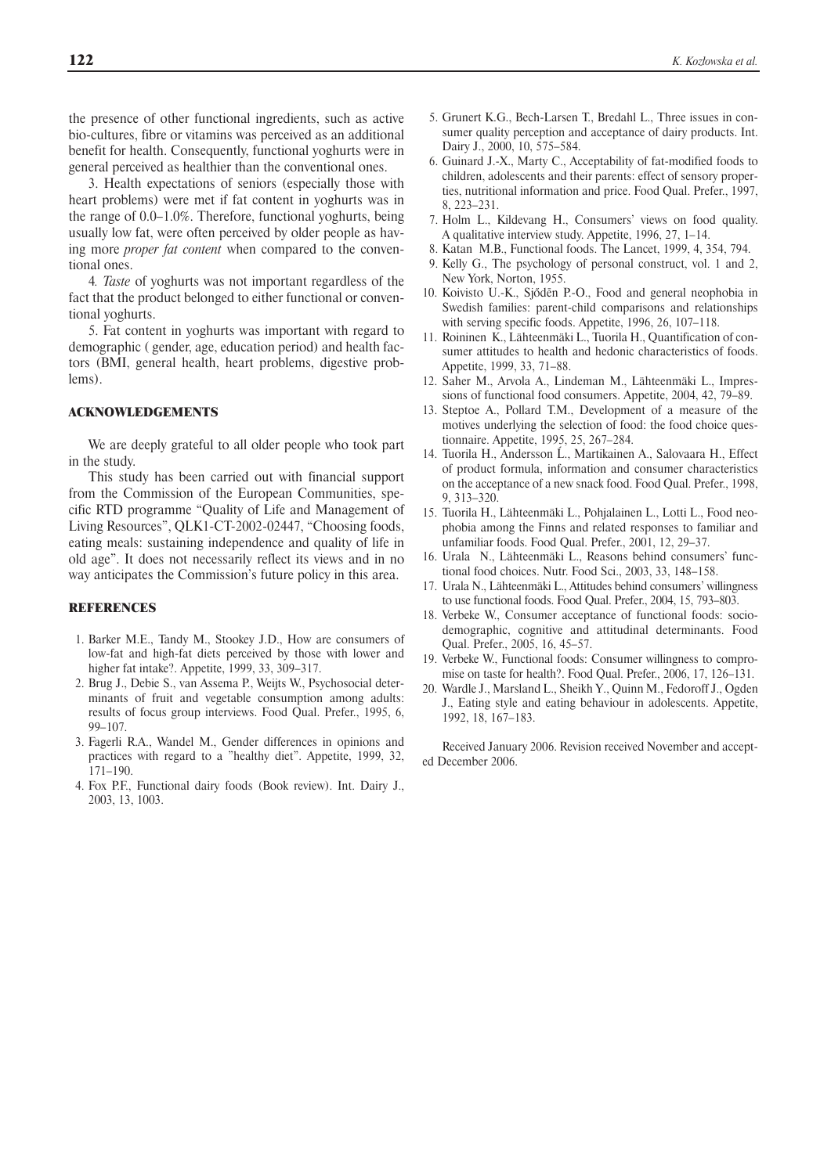the presence of other functional ingredients, such as active bio-cultures, fibre or vitamins was perceived as an additional benefit for health. Consequently, functional yoghurts were in general perceived as healthier than the conventional ones.

3. Health expectations of seniors (especially those with heart problems) were met if fat content in yoghurts was in the range of 0.0–1.0%. Therefore, functional yoghurts, being usually low fat, were often perceived by older people as having more *proper fat content* when compared to the conventional ones.

4*. Taste* of yoghurts was not important regardless of the fact that the product belonged to either functional or conventional yoghurts.

5. Fat content in yoghurts was important with regard to demographic ( gender, age, education period) and health factors (BMI, general health, heart problems, digestive problems).

### ACKNOWLEDGEMENTS

We are deeply grateful to all older people who took part in the study.

This study has been carried out with financial support from the Commission of the European Communities, specific RTD programme "Quality of Life and Management of Living Resources", QLK1-CT-2002-02447, "Choosing foods, eating meals: sustaining independence and quality of life in old age". It does not necessarily reflect its views and in no way anticipates the Commission's future policy in this area.

### **REFERENCES**

- 1. Barker M.E., Tandy M., Stookey J.D., How are consumers of low-fat and high-fat diets perceived by those with lower and higher fat intake?. Appetite, 1999, 33, 309–317.
- 2. Brug J., Debie S., van Assema P., Weijts W., Psychosocial determinants of fruit and vegetable consumption among adults: results of focus group interviews. Food Qual. Prefer., 1995, 6, 99–107.
- 3. Fagerli R.A., Wandel M., Gender differences in opinions and practices with regard to a "healthy diet". Appetite, 1999, 32, 171–190.
- 4. Fox P.F., Functional dairy foods (Book review). Int. Dairy J., 2003, 13, 1003.
- 5. Grunert K.G., Bech-Larsen T., Bredahl L., Three issues in consumer quality perception and acceptance of dairy products. Int. Dairy J., 2000, 10, 575–584.
- 6. Guinard J.-X., Marty C., Acceptability of fat-modified foods to children, adolescents and their parents: effect of sensory properties, nutritional information and price. Food Qual. Prefer., 1997, 8, 223–231.
- 7. Holm L., Kildevang H., Consumers' views on food quality. A qualitative interview study. Appetite, 1996, 27, 1–14.
- 8. Katan M.B., Functional foods. The Lancet, 1999, 4, 354, 794.
- 9. Kelly G., The psychology of personal construct, vol. 1 and 2, New York, Norton, 1955.
- 10. Koivisto U.-K., Sjődēn P.-O., Food and general neophobia in Swedish families: parent-child comparisons and relationships with serving specific foods. Appetite, 1996, 26, 107–118.
- 11. Roininen K., Lähteenmäki L., Tuorila H., Quantification of consumer attitudes to health and hedonic characteristics of foods. Appetite, 1999, 33, 71–88.
- 12. Saher M., Arvola A., Lindeman M., Lähteenmäki L., Impressions of functional food consumers. Appetite, 2004, 42, 79–89.
- 13. Steptoe A., Pollard T.M., Development of a measure of the motives underlying the selection of food: the food choice questionnaire. Appetite, 1995, 25, 267–284.
- 14. Tuorila H., Andersson Ĺ., Martikainen A., Salovaara H., Effect of product formula, information and consumer characteristics on the acceptance of a new snack food. Food Qual. Prefer., 1998, 9, 313–320.
- 15. Tuorila H., Lähteenmäki L., Pohjalainen L., Lotti L., Food neophobia among the Finns and related responses to familiar and unfamiliar foods. Food Qual. Prefer., 2001, 12, 29–37.
- 16. Urala N., Lähteenmäki L., Reasons behind consumers' functional food choices. Nutr. Food Sci., 2003, 33, 148–158.
- 17. Urala N., Lähteenmäki L., Attitudes behind consumers' willingness to use functional foods. Food Qual. Prefer., 2004, 15, 793–803.
- 18. Verbeke W., Consumer acceptance of functional foods: sociodemographic, cognitive and attitudinal determinants. Food Qual. Prefer., 2005, 16, 45–57.
- 19. Verbeke W., Functional foods: Consumer willingness to compromise on taste for health?. Food Qual. Prefer., 2006, 17, 126–131.
- 20. Wardle J., Marsland L., Sheikh Y., Quinn M., Fedoroff J., Ogden J., Eating style and eating behaviour in adolescents. Appetite, 1992, 18, 167–183.

Received January 2006. Revision received November and accepted December 2006.